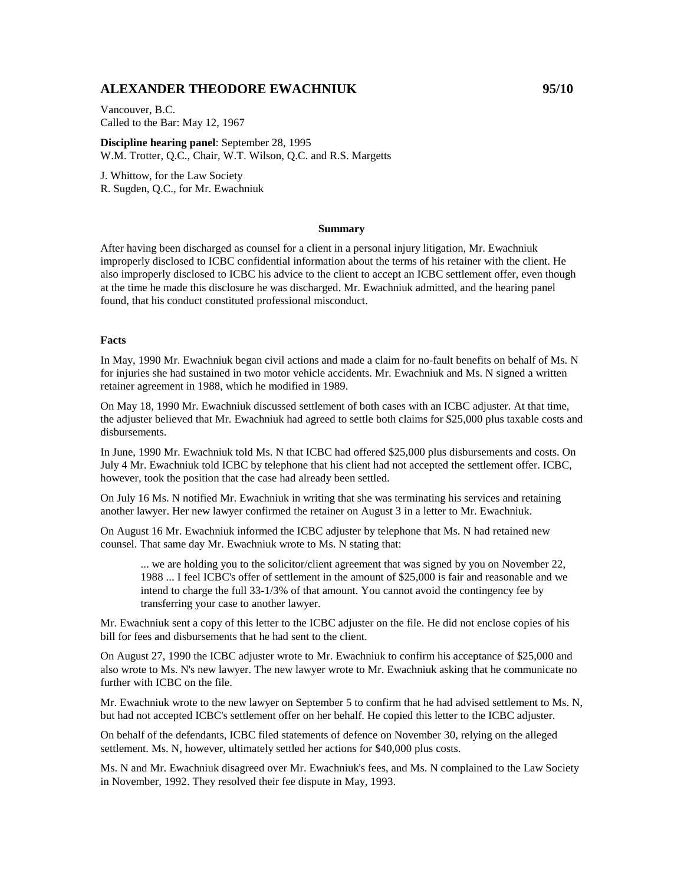# **ALEXANDER THEODORE EWACHNIUK 95/10**

Vancouver, B.C. Called to the Bar: May 12, 1967

**Discipline hearing panel**: September 28, 1995 W.M. Trotter, Q.C., Chair, W.T. Wilson, Q.C. and R.S. Margetts

J. Whittow, for the Law Society R. Sugden, Q.C., for Mr. Ewachniuk

#### **Summary**

After having been discharged as counsel for a client in a personal injury litigation, Mr. Ewachniuk improperly disclosed to ICBC confidential information about the terms of his retainer with the client. He also improperly disclosed to ICBC his advice to the client to accept an ICBC settlement offer, even though at the time he made this disclosure he was discharged. Mr. Ewachniuk admitted, and the hearing panel found, that his conduct constituted professional misconduct.

### **Facts**

In May, 1990 Mr. Ewachniuk began civil actions and made a claim for no-fault benefits on behalf of Ms. N for injuries she had sustained in two motor vehicle accidents. Mr. Ewachniuk and Ms. N signed a written retainer agreement in 1988, which he modified in 1989.

On May 18, 1990 Mr. Ewachniuk discussed settlement of both cases with an ICBC adjuster. At that time, the adjuster believed that Mr. Ewachniuk had agreed to settle both claims for \$25,000 plus taxable costs and disbursements.

In June, 1990 Mr. Ewachniuk told Ms. N that ICBC had offered \$25,000 plus disbursements and costs. On July 4 Mr. Ewachniuk told ICBC by telephone that his client had not accepted the settlement offer. ICBC, however, took the position that the case had already been settled.

On July 16 Ms. N notified Mr. Ewachniuk in writing that she was terminating his services and retaining another lawyer. Her new lawyer confirmed the retainer on August 3 in a letter to Mr. Ewachniuk.

On August 16 Mr. Ewachniuk informed the ICBC adjuster by telephone that Ms. N had retained new counsel. That same day Mr. Ewachniuk wrote to Ms. N stating that:

... we are holding you to the solicitor/client agreement that was signed by you on November 22, 1988 ... I feel ICBC's offer of settlement in the amount of \$25,000 is fair and reasonable and we intend to charge the full 33-1/3% of that amount. You cannot avoid the contingency fee by transferring your case to another lawyer.

Mr. Ewachniuk sent a copy of this letter to the ICBC adjuster on the file. He did not enclose copies of his bill for fees and disbursements that he had sent to the client.

On August 27, 1990 the ICBC adjuster wrote to Mr. Ewachniuk to confirm his acceptance of \$25,000 and also wrote to Ms. N's new lawyer. The new lawyer wrote to Mr. Ewachniuk asking that he communicate no further with ICBC on the file.

Mr. Ewachniuk wrote to the new lawyer on September 5 to confirm that he had advised settlement to Ms. N, but had not accepted ICBC's settlement offer on her behalf. He copied this letter to the ICBC adjuster.

On behalf of the defendants, ICBC filed statements of defence on November 30, relying on the alleged settlement. Ms. N, however, ultimately settled her actions for \$40,000 plus costs.

Ms. N and Mr. Ewachniuk disagreed over Mr. Ewachniuk's fees, and Ms. N complained to the Law Society in November, 1992. They resolved their fee dispute in May, 1993.